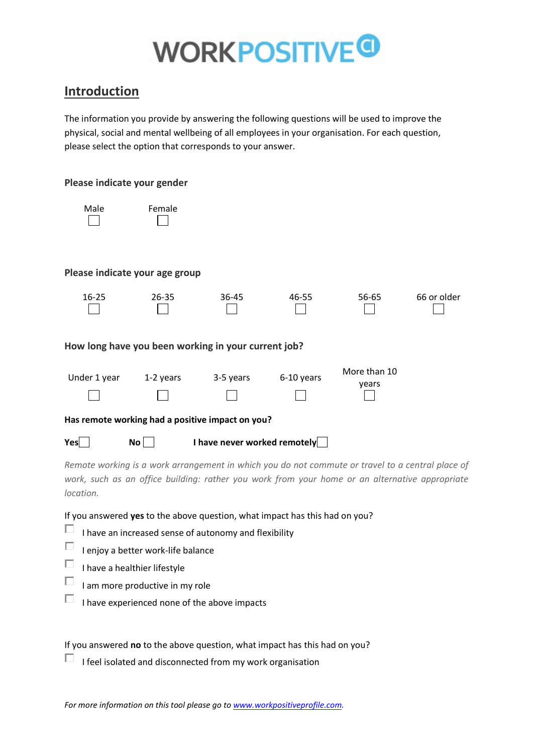### **Introduction**

The information you provide by answering the following questions will be used to improve the physical, social and mental wellbeing of all employees in your organisation. For each question, please select the option that corresponds to your answer.

#### **Please indicate your gender**



| emale |  |
|-------|--|
|       |  |

#### **Please indicate your age group**



#### **How long have you been working in your current job?**

| Under 1 year | 1-2 years | 3-5 years | 6-10 years | More than 10 |
|--------------|-----------|-----------|------------|--------------|
|              |           |           |            | vears        |
|              |           |           |            |              |

#### **Has remote working had a positive impact on you?**

**Yes** No **No** I have never worked remotely

*Remote working is a work arrangement in which you do not commute or travel to a central place of work, such as an office building: rather you work from your home or an alternative appropriate location.*

If you answered **yes** to the above question, what impact has this had on you?

- D. I have an increased sense of autonomy and flexibility
- $\Box$ I enjoy a better work-life balance
- $\Box$ I have a healthier lifestyle
- $\Box$ I am more productive in my role
- $\Box$  I have experienced none of the above impacts

If you answered **no** to the above question, what impact has this had on you?

 $\Box$  I feel isolated and disconnected from my work organisation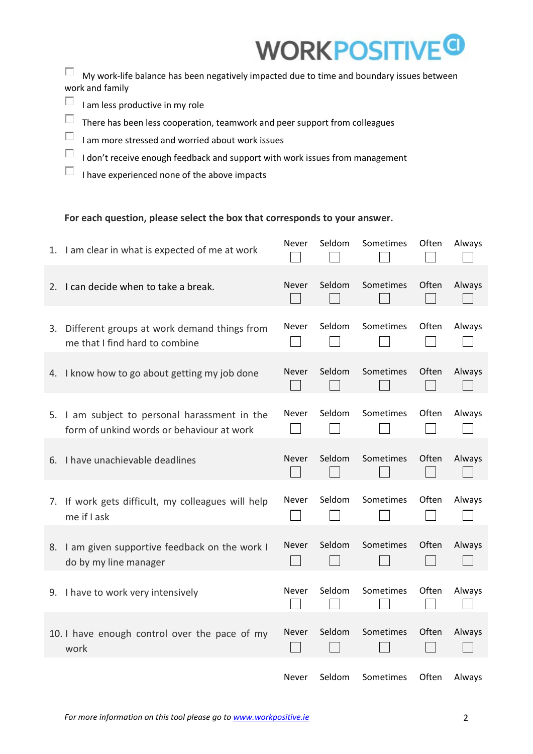## **WORKPOSITIV**

 $\Box$  My work-life balance has been negatively impacted due to time and boundary issues between work and family

- $\Box$  I am less productive in my role
- $\Box$  There has been less cooperation, teamwork and peer support from colleagues
- $\Box$ I am more stressed and worried about work issues
- $\Box$ I don't receive enough feedback and support with work issues from management
- $\Box$  I have experienced none of the above impacts

#### **For each question, please select the box that corresponds to your answer.**

| 1. I am clear in what is expected of me at work                                            | <b>Never</b> | Seldom | Sometimes | Often | Always |
|--------------------------------------------------------------------------------------------|--------------|--------|-----------|-------|--------|
| 2. I can decide when to take a break.                                                      | <b>Never</b> | Seldom | Sometimes | Often | Always |
| 3. Different groups at work demand things from<br>me that I find hard to combine           | Never        | Seldom | Sometimes | Often | Always |
| 4. I know how to go about getting my job done                                              | <b>Never</b> | Seldom | Sometimes | Often | Always |
| 5. I am subject to personal harassment in the<br>form of unkind words or behaviour at work | <b>Never</b> | Seldom | Sometimes | Often | Always |
| 6. I have unachievable deadlines                                                           | <b>Never</b> | Seldom | Sometimes | Often | Always |
| 7. If work gets difficult, my colleagues will help<br>me if I ask                          | <b>Never</b> | Seldom | Sometimes | Often | Always |
| 8. I am given supportive feedback on the work I<br>do by my line manager                   | <b>Never</b> | Seldom | Sometimes | Often | Always |
| 9. I have to work very intensively                                                         | Never        | Seldom | Sometimes | Often | Always |
| 10. I have enough control over the pace of my<br>work                                      | Never        | Seldom | Sometimes | Often | Always |
|                                                                                            | <b>Never</b> | Seldom | Sometimes | Often | Always |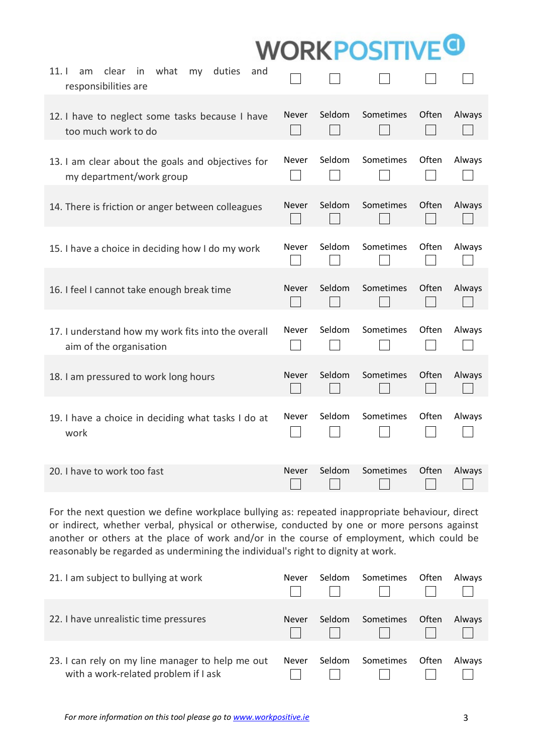| what<br>11.1<br>clear<br>in<br>duties<br>am<br>my<br>and<br>responsibilities are |              |        |           |       |        |
|----------------------------------------------------------------------------------|--------------|--------|-----------|-------|--------|
| 12. I have to neglect some tasks because I have<br>too much work to do           | <b>Never</b> | Seldom | Sometimes | Often | Always |
| 13. I am clear about the goals and objectives for<br>my department/work group    | Never        | Seldom | Sometimes | Often | Always |
| 14. There is friction or anger between colleagues                                | <b>Never</b> | Seldom | Sometimes | Often | Always |
| 15. I have a choice in deciding how I do my work                                 | Never        | Seldom | Sometimes | Often | Always |
| 16. I feel I cannot take enough break time                                       | <b>Never</b> | Seldom | Sometimes | Often | Always |
| 17. I understand how my work fits into the overall<br>aim of the organisation    | Never        | Seldom | Sometimes | Often | Always |
| 18. I am pressured to work long hours                                            | <b>Never</b> | Seldom | Sometimes | Often | Always |
| 19. I have a choice in deciding what tasks I do at<br>work                       | Never        | Seldom | Sometimes | Often | Always |
| 20. I have to work too fast                                                      | Never        | Seldom | Sometimes | Often | Always |

For the next question we define workplace bullying as: repeated inappropriate behaviour, direct or indirect, whether verbal, physical or otherwise, conducted by one or more persons against another or others at the place of work and/or in the course of employment, which could be reasonably be regarded as undermining the individual's right to dignity at work.

| 21. I am subject to bullying at work                                                     | Never        | Seldom | Sometimes | Often        | Always        |
|------------------------------------------------------------------------------------------|--------------|--------|-----------|--------------|---------------|
| 22. I have unrealistic time pressures                                                    | Never        | Seldom | Sometimes | <b>Often</b> | <b>Always</b> |
| 23. I can rely on my line manager to help me out<br>with a work-related problem if I ask | <b>Never</b> | Seldom | Sometimes | Often        | Always        |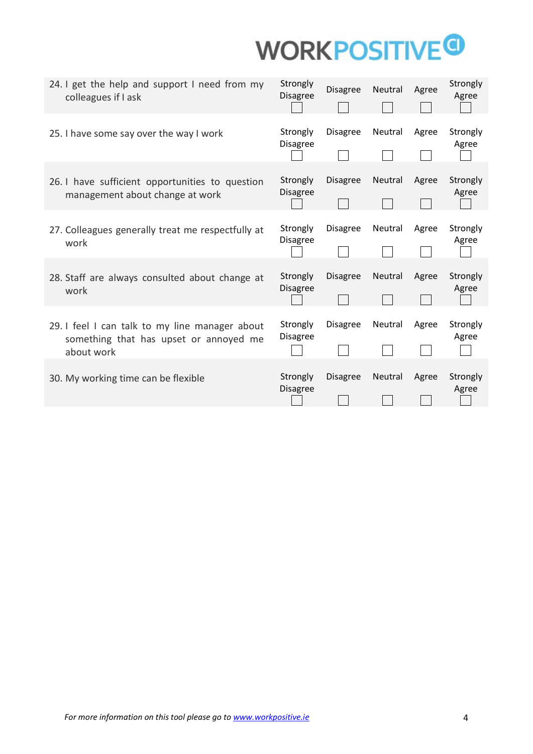| 24. I get the help and support I need from my<br>colleagues if I ask                                   | Strongly<br><b>Disagree</b> | <b>Disagree</b> | Neutral | Agree | Strongly<br>Agree |
|--------------------------------------------------------------------------------------------------------|-----------------------------|-----------------|---------|-------|-------------------|
| 25. I have some say over the way I work                                                                | Strongly<br><b>Disagree</b> | <b>Disagree</b> | Neutral | Agree | Strongly<br>Agree |
| 26. I have sufficient opportunities to question<br>management about change at work                     | Strongly<br><b>Disagree</b> | Disagree        | Neutral | Agree | Strongly<br>Agree |
| 27. Colleagues generally treat me respectfully at<br>work                                              | Strongly<br><b>Disagree</b> | <b>Disagree</b> | Neutral | Agree | Strongly<br>Agree |
| 28. Staff are always consulted about change at<br>work                                                 | Strongly<br><b>Disagree</b> | Disagree        | Neutral | Agree | Strongly<br>Agree |
| 29. I feel I can talk to my line manager about<br>something that has upset or annoyed me<br>about work | Strongly<br>Disagree        | Disagree        | Neutral | Agree | Strongly<br>Agree |
| 30. My working time can be flexible                                                                    | Strongly<br><b>Disagree</b> | Disagree        | Neutral | Agree | Strongly<br>Agree |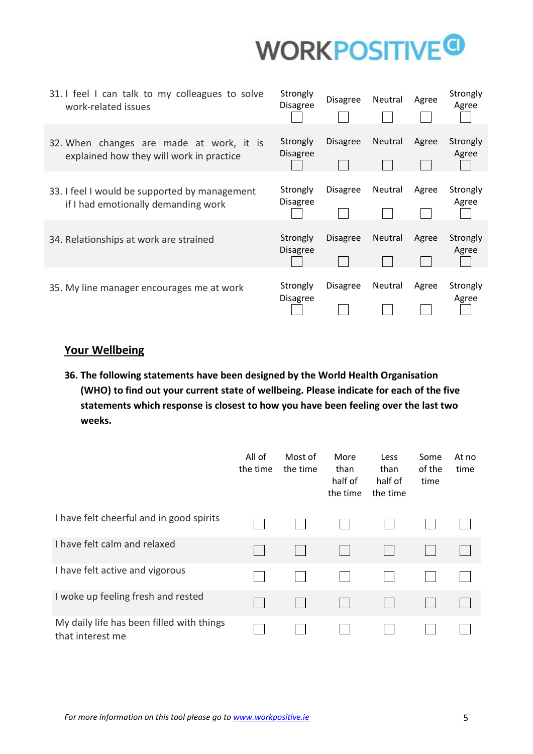

| 31. I feel I can talk to my colleagues to solve<br>work-related issues               | Strongly<br><b>Disagree</b> | <b>Disagree</b> | Neutral        | Agree | Strongly<br>Agree |
|--------------------------------------------------------------------------------------|-----------------------------|-----------------|----------------|-------|-------------------|
| 32. When changes are made at work, it is<br>explained how they will work in practice | Strongly<br><b>Disagree</b> | <b>Disagree</b> | <b>Neutral</b> | Agree | Strongly<br>Agree |
| 33. I feel I would be supported by management<br>if I had emotionally demanding work | Strongly<br><b>Disagree</b> | <b>Disagree</b> | Neutral        | Agree | Strongly<br>Agree |
| 34. Relationships at work are strained                                               | Strongly<br><b>Disagree</b> | Disagree        | <b>Neutral</b> | Agree | Strongly<br>Agree |
| 35. My line manager encourages me at work                                            | Strongly<br><b>Disagree</b> | <b>Disagree</b> | <b>Neutral</b> | Agree | Strongly<br>Agree |

### **Your Wellbeing**

**36. The following statements have been designed by the World Health Organisation (WHO) to find out your current state of wellbeing. Please indicate for each of the five statements which response is closest to how you have been feeling over the last two weeks.**

|                                                               | All of<br>the time | Most of<br>the time | More<br>than<br>half of<br>the time | Less<br>than<br>half of<br>the time | Some<br>of the<br>time | At no<br>time |
|---------------------------------------------------------------|--------------------|---------------------|-------------------------------------|-------------------------------------|------------------------|---------------|
| I have felt cheerful and in good spirits                      |                    |                     |                                     |                                     |                        |               |
| I have felt calm and relaxed                                  |                    |                     |                                     |                                     |                        |               |
| I have felt active and vigorous                               |                    |                     |                                     |                                     |                        |               |
| I woke up feeling fresh and rested                            |                    |                     |                                     |                                     |                        |               |
| My daily life has been filled with things<br>that interest me |                    |                     |                                     |                                     |                        |               |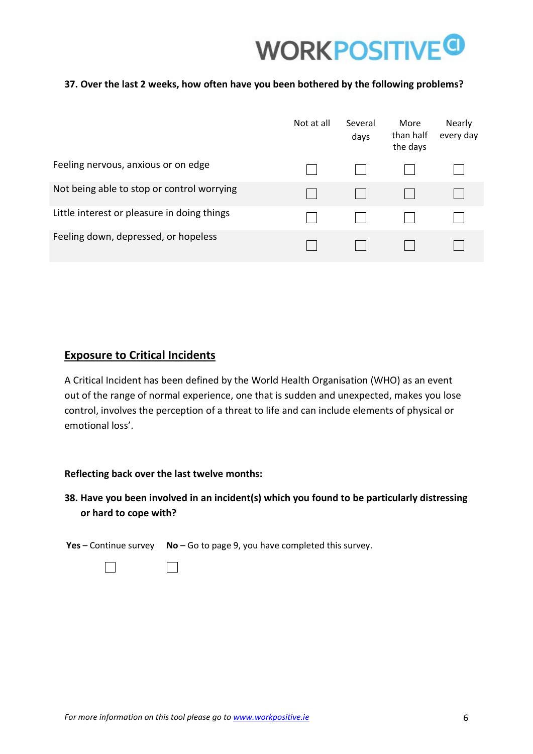

#### **37. Over the last 2 weeks, how often have you been bothered by the following problems?**

|                                             | Not at all | Several<br>days | More<br>than half<br>the days | Nearly<br>every day |
|---------------------------------------------|------------|-----------------|-------------------------------|---------------------|
| Feeling nervous, anxious or on edge         |            |                 |                               |                     |
| Not being able to stop or control worrying  |            |                 |                               |                     |
| Little interest or pleasure in doing things |            |                 |                               |                     |
| Feeling down, depressed, or hopeless        |            |                 |                               |                     |

#### **Exposure to Critical Incidents**

A Critical Incident has been defined by the World Health Organisation (WHO) as an event out of the range of normal experience, one that is sudden and unexpected, makes you lose control, involves the perception of a threat to life and can include elements of physical or emotional loss'.

#### **Reflecting back over the last twelve months:**

### **38. Have you been involved in an incident(s) which you found to be particularly distressing or hard to cope with?**

**Yes** – Continue survey **No** – Go to page 9, you have completed this survey.

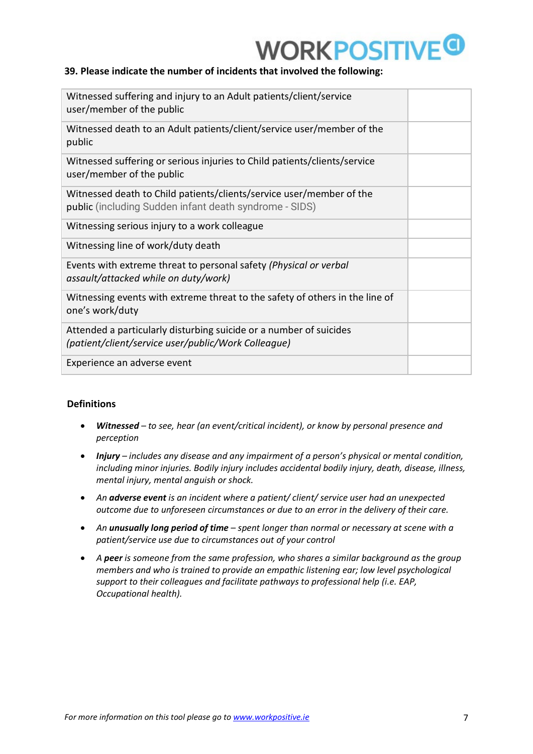#### **39. Please indicate the number of incidents that involved the following:**

| Witnessed suffering and injury to an Adult patients/client/service<br>user/member of the public                                |  |
|--------------------------------------------------------------------------------------------------------------------------------|--|
| Witnessed death to an Adult patients/client/service user/member of the<br>public                                               |  |
| Witnessed suffering or serious injuries to Child patients/clients/service<br>user/member of the public                         |  |
| Witnessed death to Child patients/clients/service user/member of the<br>public (including Sudden infant death syndrome - SIDS) |  |
| Witnessing serious injury to a work colleague                                                                                  |  |
| Witnessing line of work/duty death                                                                                             |  |
| Events with extreme threat to personal safety (Physical or verbal<br>assault/attacked while on duty/work)                      |  |
| Witnessing events with extreme threat to the safety of others in the line of<br>one's work/duty                                |  |
| Attended a particularly disturbing suicide or a number of suicides<br>(patient/client/service user/public/Work Colleague)      |  |
| Experience an adverse event                                                                                                    |  |

#### **Definitions**

- *Witnessed to see, hear (an event/critical incident), or know by personal presence and perception*
- *Injury includes any disease and any impairment of a person's physical or mental condition, including minor injuries. Bodily injury includes accidental bodily injury, death, disease, illness, mental injury, mental anguish or shock.*
- *An adverse event is an incident where a patient/ client/ service user had an unexpected outcome due to unforeseen circumstances or due to an error in the delivery of their care.*
- *An unusually long period of time spent longer than normal or necessary at scene with a patient/service use due to circumstances out of your control*
- *A peer is someone from the same profession, who shares a similar background as the group members and who is trained to provide an empathic listening ear; low level psychological support to their colleagues and facilitate pathways to professional help (i.e. EAP, Occupational health).*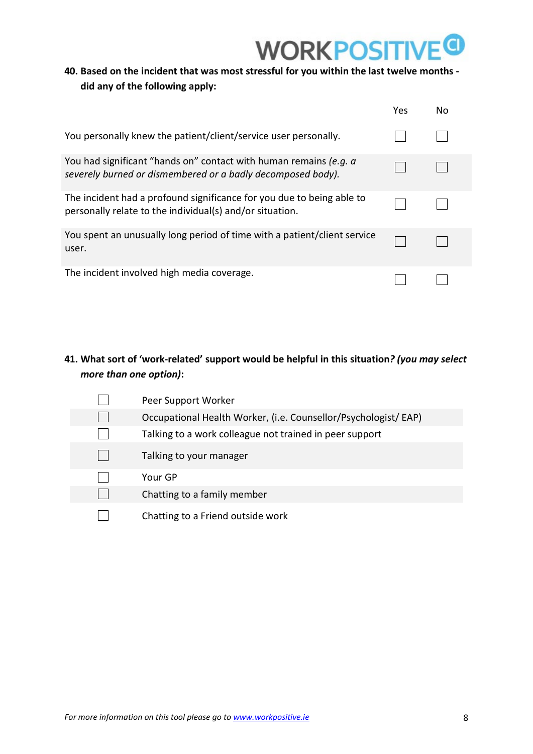# **WORKPOSITIV**

### **40. Based on the incident that was most stressful for you within the last twelve months did any of the following apply:**

|                                                                                                                                   | Yes | No |
|-----------------------------------------------------------------------------------------------------------------------------------|-----|----|
| You personally knew the patient/client/service user personally.                                                                   |     |    |
| You had significant "hands on" contact with human remains (e.g. a<br>severely burned or dismembered or a badly decomposed body).  |     |    |
| The incident had a profound significance for you due to being able to<br>personally relate to the individual(s) and/or situation. |     |    |
| You spent an unusually long period of time with a patient/client service<br>user.                                                 |     |    |
| The incident involved high media coverage.                                                                                        |     |    |

### **41. What sort of 'work-related' support would be helpful in this situation***? (you may select more than one option)***:**

Peer Support Worker  $\Box$  $\Box$ Occupational Health Worker, (i.e. Counsellor/Psychologist/ EAP)  $\Box$ Talking to a work colleague not trained in peer support  $\Box$ Talking to your manager  $\Box$ Your GP  $\Box$ Chatting to a family member  $\Box$ Chatting to a Friend outside work